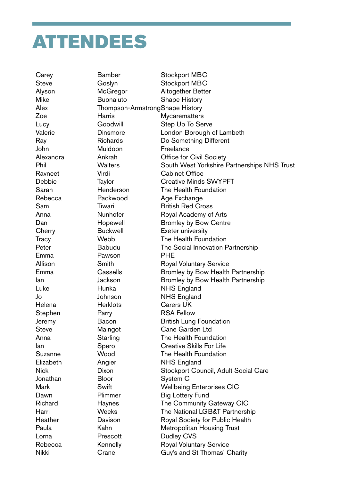## ATTENDEES

Carey **Bamber** Stockport MBC Steve Goslyn Stockport MBC Alyson McGregor Altogether Better Mike **Buonaiuto** Shape History Alex Thompson-ArmstrongShape History Zoe **Harris** Harris Mycarematters Lucy **Goodwill** Step Up To Serve Valerie Dinsmore London Borough of Lambeth Ray Richards Do Something Different John Muldoon Freelance Alexandra Ankrah Office for Civil Society Phil Walters South West Yorkshire Partnerships NHS Trust Ravneet Virdi Cabinet Office Debbie Taylor Creative Minds SWYPFT Sarah **Henderson** The Health Foundation Rebecca Packwood Age Exchange Sam Tiwari British Red Cross Anna **Nunhofer** Royal Academy of Arts Dan Hopewell Bromley by Bow Centre Cherry **Buckwell** Exeter university Tracy Webb The Health Foundation Peter **Babudu** The Social Innovation Partnership Emma Pawson PHE Allison Smith Royal Voluntary Service Emma Cassells Bromley by Bow Health Partnership Ian Jackson Bromley by Bow Health Partnership Luke Hunka NHS England Jo Johnson NHS England Helena Herklots Carers UK Stephen Parry RSA Fellow Jeremy Bacon British Lung Foundation Steve Maingot Cane Garden Ltd Anna Starling The Health Foundation Ian Spero Creative Skills For Life Suzanne Wood The Health Foundation Elizabeth Angier NHS England Nick Dixon Dixon Stockport Council, Adult Social Care Jonathan Bloor System C Mark **Swift** Swift Wellbeing Enterprises CIC Dawn Plimmer Big Lottery Fund Richard Haynes The Community Gateway CIC Harri Weeks The National LGB&T Partnership Heather **Davison** Royal Society for Public Health Paula Kahn Metropolitan Housing Trust Lorna **Prescott** Dudley CVS Rebecca Kennelly Royal Voluntary Service Nikki Crane Guy's and St Thomas' Charity